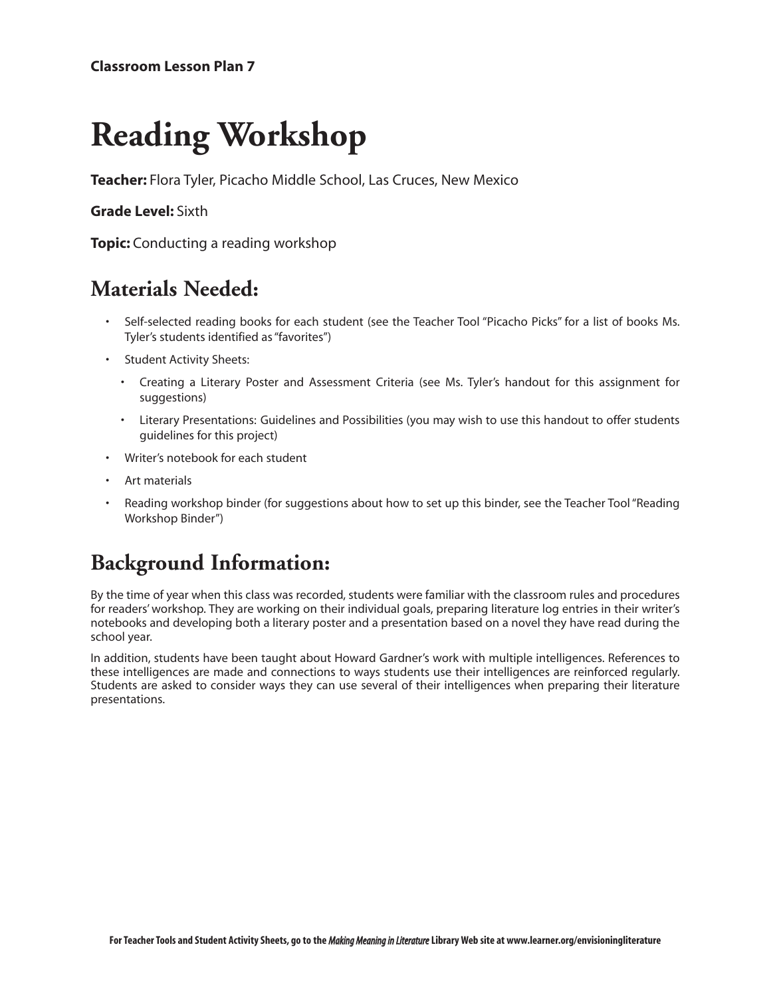# **Reading Workshop**

**Teacher:** Flora Tyler, Picacho Middle School, Las Cruces, New Mexico

#### **Grade Level:** Sixth

**Topic:** Conducting a reading workshop

#### **Materials Needed:**

- Self-selected reading books for each student (see the Teacher Tool "Picacho Picks" for a list of books Ms. Tyler's students identified as "favorites")
- Student Activity Sheets:
	- Creating a Literary Poster and Assessment Criteria (see Ms. Tyler's handout for this assignment for suggestions)
	- Literary Presentations: Guidelines and Possibilities (you may wish to use this handout to offer students guidelines for this project)
- Writer's notebook for each student
- Art materials
- Reading workshop binder (for suggestions about how to set up this binder, see the Teacher Tool "Reading Workshop Binder")

## **Background Information:**

By the time of year when this class was recorded, students were familiar with the classroom rules and procedures for readers' workshop. They are working on their individual goals, preparing literature log entries in their writer's notebooks and developing both a literary poster and a presentation based on a novel they have read during the school year.

In addition, students have been taught about Howard Gardner's work with multiple intelligences. References to these intelligences are made and connections to ways students use their intelligences are reinforced regularly. Students are asked to consider ways they can use several of their intelligences when preparing their literature presentations.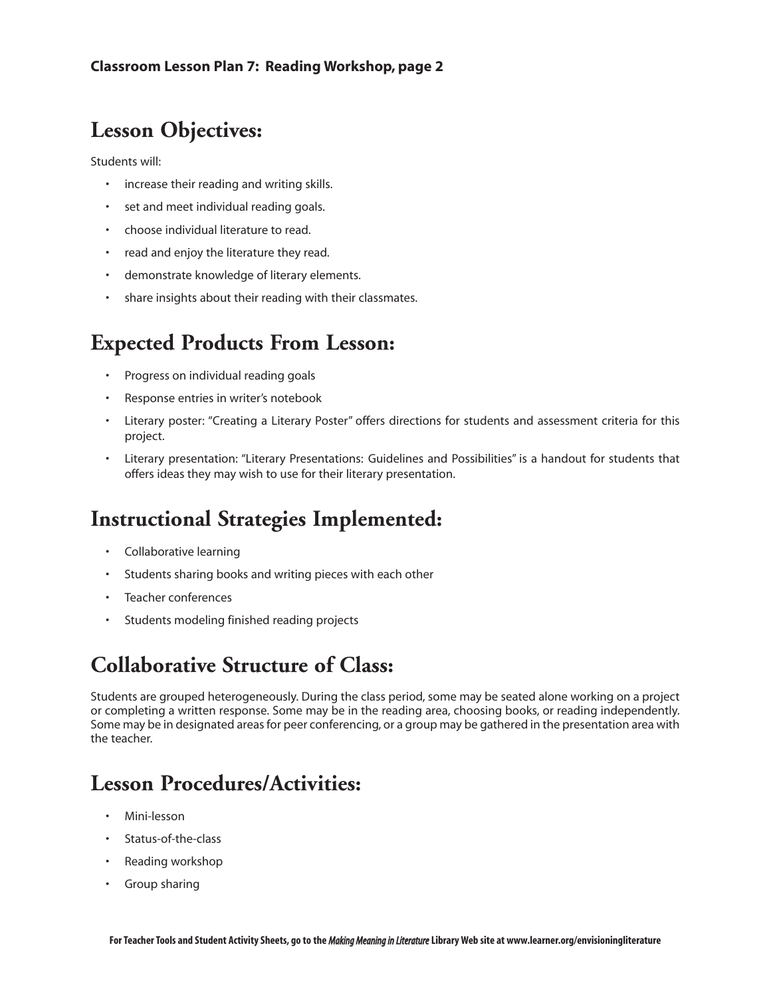#### **Lesson Objectives:**

Students will:

- increase their reading and writing skills.
- set and meet individual reading goals.
- choose individual literature to read.
- read and enjoy the literature they read.
- demonstrate knowledge of literary elements.
- share insights about their reading with their classmates.

#### **Expected Products From Lesson:**

- Progress on individual reading goals
- Response entries in writer's notebook
- Literary poster: "Creating a Literary Poster" offers directions for students and assessment criteria for this project.
- Literary presentation: "Literary Presentations: Guidelines and Possibilities" is a handout for students that offers ideas they may wish to use for their literary presentation.

#### **Instructional Strategies Implemented:**

- Collaborative learning
- Students sharing books and writing pieces with each other
- Teacher conferences
- Students modeling finished reading projects

## **Collaborative Structure of Class:**

Students are grouped heterogeneously. During the class period, some may be seated alone working on a project or completing a written response. Some may be in the reading area, choosing books, or reading independently. Some may be in designated areas for peer conferencing, or a group may be gathered in the presentation area with the teacher.

## **Lesson Procedures/Activities:**

- Mini-lesson
- Status-of-the-class
- Reading workshop
- Group sharing